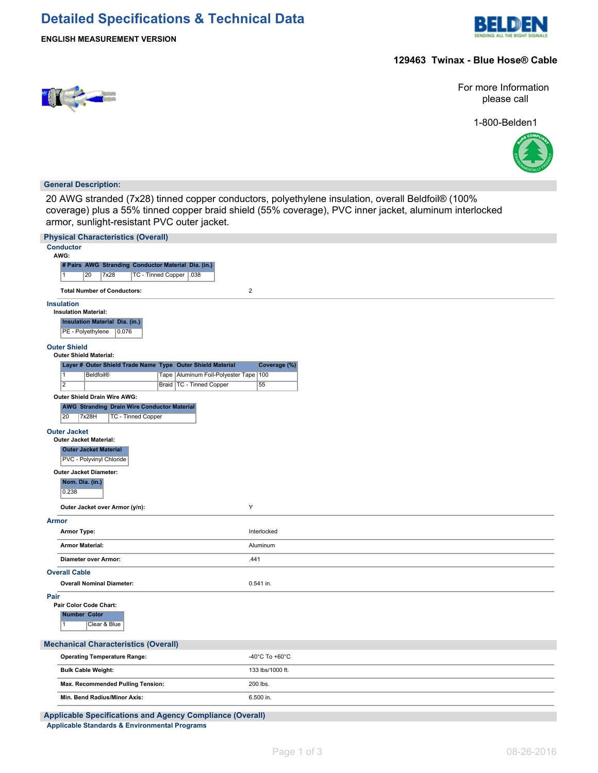# **Detailed Specifications & Technical Data**



**ENGLISH MEASUREMENT VERSION**

### **129463 Twinax - Blue Hose® Cable**



For more Information please call

1-800-Belden1



### **General Description:**

20 AWG stranded (7x28) tinned copper conductors, polyethylene insulation, overall Beldfoil® (100% coverage) plus a 55% tinned copper braid shield (55% coverage), PVC inner jacket, aluminum interlocked armor, sunlight-resistant PVC outer jacket.

| <b>Physical Characteristics (Overall)</b>                                                                                                |                     |  |
|------------------------------------------------------------------------------------------------------------------------------------------|---------------------|--|
| <b>Conductor</b><br>AWG:                                                                                                                 |                     |  |
| # Pairs AWG Stranding Conductor Material Dia. (in.)                                                                                      |                     |  |
| TC - Tinned Copper   .038<br>20<br>7x28<br>1                                                                                             |                     |  |
| <b>Total Number of Conductors:</b>                                                                                                       | $\overline{2}$      |  |
| <b>Insulation</b>                                                                                                                        |                     |  |
| <b>Insulation Material:</b><br><b>Insulation Material Dia. (in.)</b>                                                                     |                     |  |
| PE - Polyethylene<br>0.076                                                                                                               |                     |  |
| <b>Outer Shield</b>                                                                                                                      |                     |  |
| <b>Outer Shield Material:</b>                                                                                                            |                     |  |
| Layer # Outer Shield Trade Name Type Outer Shield Material<br>$\overline{1}$<br><b>Beldfoil®</b><br>Tape<br>Aluminum Foil-Polyester Tape | Coverage (%)<br>100 |  |
| $\overline{2}$<br>Braid   TC - Tinned Copper                                                                                             | 55                  |  |
| Outer Shield Drain Wire AWG:                                                                                                             |                     |  |
| <b>AWG Stranding Drain Wire Conductor Material</b>                                                                                       |                     |  |
| 20<br>7x28H<br><b>TC - Tinned Copper</b>                                                                                                 |                     |  |
| <b>Outer Jacket</b><br><b>Outer Jacket Material:</b>                                                                                     |                     |  |
| <b>Outer Jacket Material</b>                                                                                                             |                     |  |
| PVC - Polyvinyl Chloride                                                                                                                 |                     |  |
| <b>Outer Jacket Diameter:</b>                                                                                                            |                     |  |
| Nom. Dia. (in.)<br>0.238                                                                                                                 |                     |  |
| Outer Jacket over Armor (y/n):                                                                                                           | Υ                   |  |
| <b>Armor</b>                                                                                                                             |                     |  |
| <b>Armor Type:</b>                                                                                                                       | Interlocked         |  |
| <b>Armor Material:</b>                                                                                                                   | Aluminum            |  |
| Diameter over Armor:                                                                                                                     | .441                |  |
| <b>Overall Cable</b>                                                                                                                     |                     |  |
| <b>Overall Nominal Diameter:</b>                                                                                                         | $0.541$ in.         |  |
| Pair<br>Pair Color Code Chart:                                                                                                           |                     |  |
| <b>Number Color</b>                                                                                                                      |                     |  |
| Clear & Blue<br>1                                                                                                                        |                     |  |
| <b>Mechanical Characteristics (Overall)</b>                                                                                              |                     |  |
| <b>Operating Temperature Range:</b>                                                                                                      | -40°C To +60°C      |  |
| <b>Bulk Cable Weight:</b>                                                                                                                | 133 lbs/1000 ft.    |  |
| Max. Recommended Pulling Tension:                                                                                                        | 200 lbs.            |  |
| Min. Bend Radius/Minor Axis:                                                                                                             | 6.500 in.           |  |
| <b>Applicable Specifications and Agency Compliance (Overall)</b>                                                                         |                     |  |
| <b>Applicable Standards &amp; Environmental Programs</b>                                                                                 |                     |  |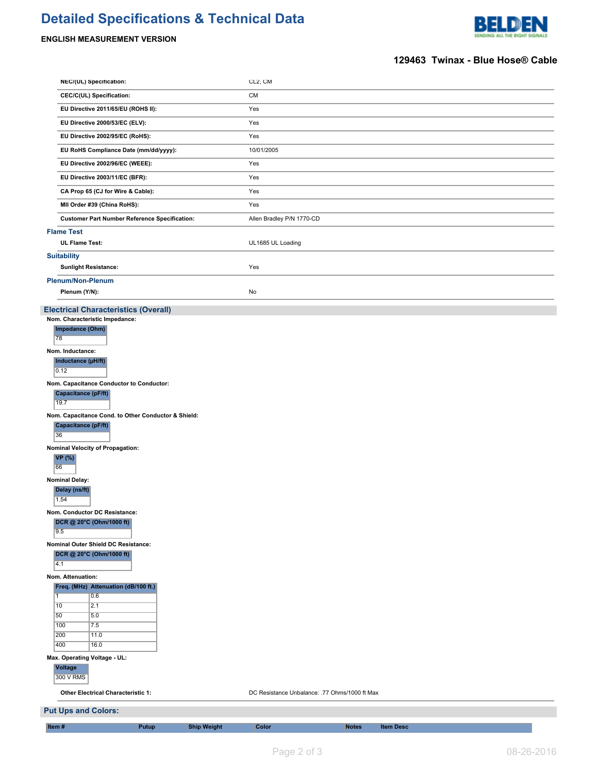# **Detailed Specifications & Technical Data**

# **ENGLISH MEASUREMENT VERSION**



## **129463 Twinax - Blue Hose® Cable**

| NEC/(UL) Specification:                                       | CL2, CM                                       |                  |  |  |  |
|---------------------------------------------------------------|-----------------------------------------------|------------------|--|--|--|
| CEC/C(UL) Specification:                                      | CM                                            |                  |  |  |  |
| EU Directive 2011/65/EU (ROHS II):                            | Yes                                           |                  |  |  |  |
| EU Directive 2000/53/EC (ELV):                                | Yes                                           |                  |  |  |  |
| EU Directive 2002/95/EC (RoHS):                               | Yes                                           |                  |  |  |  |
| EU RoHS Compliance Date (mm/dd/yyyy):                         | 10/01/2005                                    |                  |  |  |  |
| EU Directive 2002/96/EC (WEEE):                               | Yes                                           |                  |  |  |  |
| EU Directive 2003/11/EC (BFR):                                | Yes                                           |                  |  |  |  |
| CA Prop 65 (CJ for Wire & Cable):                             | Yes                                           |                  |  |  |  |
| MII Order #39 (China RoHS):                                   | Yes                                           |                  |  |  |  |
| <b>Customer Part Number Reference Specification:</b>          | Allen Bradley P/N 1770-CD                     |                  |  |  |  |
| <b>Flame Test</b>                                             |                                               |                  |  |  |  |
| <b>UL Flame Test:</b>                                         | UL1685 UL Loading                             |                  |  |  |  |
| <b>Suitability</b>                                            |                                               |                  |  |  |  |
| <b>Sunlight Resistance:</b>                                   | Yes                                           |                  |  |  |  |
| Plenum/Non-Plenum                                             |                                               |                  |  |  |  |
| Plenum (Y/N):                                                 | No                                            |                  |  |  |  |
| <b>Electrical Characteristics (Overall)</b>                   |                                               |                  |  |  |  |
| Nom. Characteristic Impedance:<br>Impedance (Ohm)             |                                               |                  |  |  |  |
| 78                                                            |                                               |                  |  |  |  |
| Nom. Inductance:                                              |                                               |                  |  |  |  |
| Inductance (µH/ft)<br>0.12                                    |                                               |                  |  |  |  |
| Nom. Capacitance Conductor to Conductor:                      |                                               |                  |  |  |  |
| Capacitance (pF/ft)<br>19.7                                   |                                               |                  |  |  |  |
| Nom. Capacitance Cond. to Other Conductor & Shield:           |                                               |                  |  |  |  |
| Capacitance (pF/ft)<br>36                                     |                                               |                  |  |  |  |
| Nominal Velocity of Propagation:<br><b>VP</b> (%)             |                                               |                  |  |  |  |
| 66                                                            |                                               |                  |  |  |  |
| <b>Nominal Delay:</b><br>Delay (ns/ft)<br>1.54                |                                               |                  |  |  |  |
| Nom. Conductor DC Resistance:                                 |                                               |                  |  |  |  |
| DCR @ 20°C (Ohm/1000 ft)<br>9.5                               |                                               |                  |  |  |  |
| Nominal Outer Shield DC Resistance:                           |                                               |                  |  |  |  |
| DCR @ 20°C (Ohm/1000 ft)<br>$\overline{4.1}$                  |                                               |                  |  |  |  |
| Nom. Attenuation:                                             |                                               |                  |  |  |  |
| Freq. (MHz) Attenuation (dB/100 ft.)<br>$\overline{1}$<br>0.6 |                                               |                  |  |  |  |
| 10<br>2.1                                                     |                                               |                  |  |  |  |
| 50<br>5.0<br>100<br>7.5                                       |                                               |                  |  |  |  |
| 200<br>11.0                                                   |                                               |                  |  |  |  |
| 400<br>16.0                                                   |                                               |                  |  |  |  |
| Max. Operating Voltage - UL:<br><b>Voltage</b><br>300 V RMS   |                                               |                  |  |  |  |
| <b>Other Electrical Characteristic 1:</b>                     | DC Resistance Unbalance: .77 Ohms/1000 ft Max |                  |  |  |  |
| <b>Put Ups and Colors:</b>                                    |                                               |                  |  |  |  |
| Item#<br><b>Putup</b><br><b>Ship Weight</b>                   | <b>Color</b><br><b>Notes</b>                  | <b>Item Desc</b> |  |  |  |